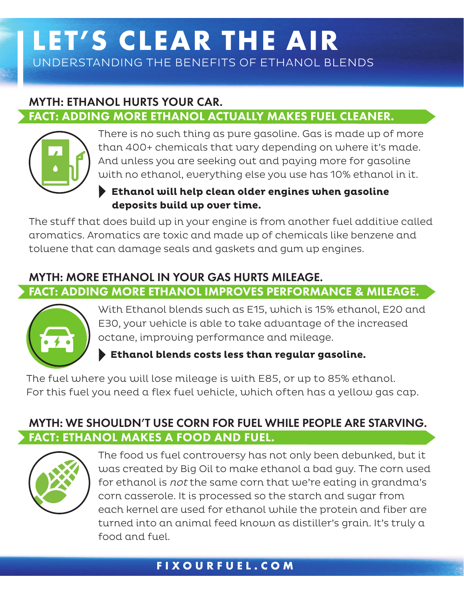# **LET'S CLEAR THE AIR** UNDERSTANDING THE BENEFITS OF ETHANOL BLENDS

# MYTH: ETHANOL HURTS YOUR CAR. FACT: ADDING MORE ETHANOL ACTUALLY MAKES FUEL CLEANER.



There is no such thing as pure gasoline. Gas is made up of more than 400+ chemicals that vary depending on where it's made. And unless you are seeking out and paying more for gasoline with no ethanol, everything else you use has 10% ethanol in it.

#### **Ethanol will help clean older engines when gasoline deposits build up over time.**

The stuff that does build up in your engine is from another fuel additive called aromatics. Aromatics are toxic and made up of chemicals like benzene and toluene that can damage seals and gaskets and gum up engines.

# MYTH: MORE ETHANOL IN YOUR GAS HURTS MILEAGE.

FACT: ADDING MORE ETHANOL IMPROVES PERFORMANCE & MILEAGE.



With Ethanol blends such as E15, which is 15% ethanol, E20 and E30, your vehicle is able to take advantage of the increased octane, improving performance and mileage.

 **Ethanol blends costs less than regular gasoline.**

The fuel where you will lose mileage is with E85, or up to 85% ethanol. For this fuel you need a flex fuel vehicle, which often has a yellow gas cap.

# MYTH: WE SHOULDN'T USE CORN FOR FUEL WHILE PEOPLE ARE STARVING. FACT: ETHANOL MAKES A FOOD AND FUEL.



The food vs fuel controversy has not only been debunked, but it was created by Big Oil to make ethanol a bad guy. The corn used for ethanol is not the same corn that we're eating in grandma's corn casserole. It is processed so the starch and sugar from each kernel are used for ethanol while the protein and fiber are turned into an animal feed known as distiller's grain. It's truly a food and fuel.

## **FIXOURFUEL.COM**